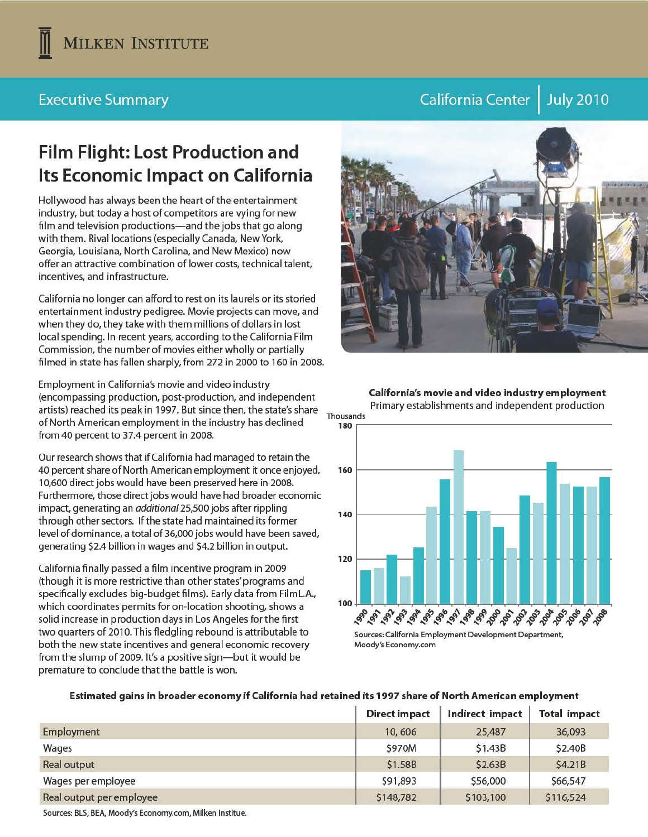## Executive Summary **Executive Summary California Center | July 2010**

# Film Flight: Lost Production and Its Economic Impact on California

Hollywood has always been the heart of the entertainment industry, but today a host of competitors are vying for new film and television productions-and the jobs that go along with them. Rival locations (especially Canada, New York, Georgia, Louisiana, North Carolina, and New Mexico) now offer an attractive combination of lower costs, technical talent incentives, and infrastructure.

California no longer can afford to rest on its laurels or its storied entertainment industry pedigree. Movie projects can move, and when they do, they take with them millions of dollars in lost local spending. In recent years, according to the California Film Commission, the number of movies either wholly or partially filmed in state has fallen sharply, from 272 in 2000 to 160 in 200 8.

Employment in California's movie and video industry (encompassing production, post-production, and independent artists) reached its peak in 1997. But since then, the state's share of North American employment in the industry has declined from 40 percent to 37.4 percent in 2008.

Our research shows that if California had managed to retain the 40 percent share of North American employment it once enjoyed, 10,600 direct jobs would have been preserved here in 2008. Furthermore, those direct jobs would have had broader economi c impact, generating an *additional* 25,500 jobs after rippling through other sectors. If the state had maintained its former level of dominance, a total of 36,000 jobs would have been saved, generating \$2.4 billion in wages and \$4.2 billion in output.

California finally passed a film incentive program in 2009 (though it is more restrictive than other states' programs and specifically excludes big-budget films). Early data from FilmL.A., which coordinates permits for on-location shooting, shows a solid increase in production days in Los Angeles for the first two quarters of 2010. This fledgling rebound is attributable to both the new state incentives and general economic recovery from the slump of 2009. It's a positive sign-but it would be premature to conclude that the battle is won.





California's movie and video industry employment Primary establishments and independent production

Sources: California Employment Development Department, Moody's Economy.com

#### Estimated gains in broader economy if California had retained its 1997 share of North American employment

| <b>Direct impact</b> | Indirect impact | <b>Total impact</b> |
|----------------------|-----------------|---------------------|
| 10,606               | 25,487          | 36,093              |
| \$970M               | \$1.43B         | \$2.40B             |
| \$1.58B              | \$2.63B         | \$4.21B             |
| \$91,893             | \$56,000        | \$66,547            |
| \$148,782            | \$103,100       | \$116,524           |
|                      |                 |                     |

Sources: BLS, BEA, Moody's Economy.com, Milken Institue.